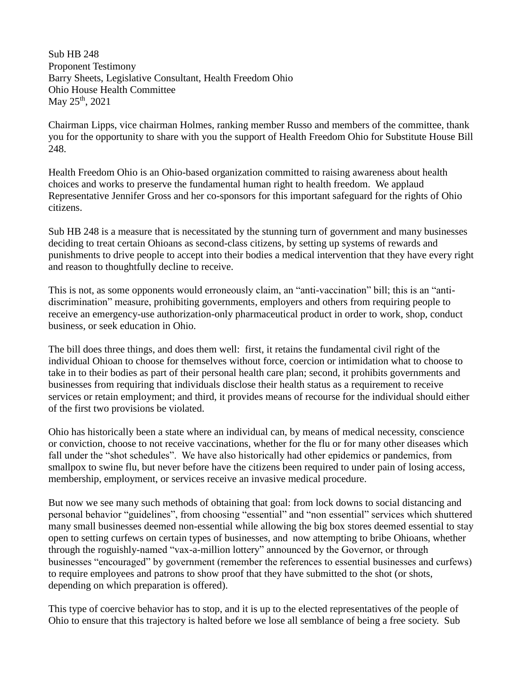Sub HB 248 Proponent Testimony Barry Sheets, Legislative Consultant, Health Freedom Ohio Ohio House Health Committee May 25<sup>th</sup>, 2021

Chairman Lipps, vice chairman Holmes, ranking member Russo and members of the committee, thank you for the opportunity to share with you the support of Health Freedom Ohio for Substitute House Bill 248.

Health Freedom Ohio is an Ohio-based organization committed to raising awareness about health choices and works to preserve the fundamental human right to health freedom. We applaud Representative Jennifer Gross and her co-sponsors for this important safeguard for the rights of Ohio citizens.

Sub HB 248 is a measure that is necessitated by the stunning turn of government and many businesses deciding to treat certain Ohioans as second-class citizens, by setting up systems of rewards and punishments to drive people to accept into their bodies a medical intervention that they have every right and reason to thoughtfully decline to receive.

This is not, as some opponents would erroneously claim, an "anti-vaccination" bill; this is an "antidiscrimination" measure, prohibiting governments, employers and others from requiring people to receive an emergency-use authorization-only pharmaceutical product in order to work, shop, conduct business, or seek education in Ohio.

The bill does three things, and does them well: first, it retains the fundamental civil right of the individual Ohioan to choose for themselves without force, coercion or intimidation what to choose to take in to their bodies as part of their personal health care plan; second, it prohibits governments and businesses from requiring that individuals disclose their health status as a requirement to receive services or retain employment; and third, it provides means of recourse for the individual should either of the first two provisions be violated.

Ohio has historically been a state where an individual can, by means of medical necessity, conscience or conviction, choose to not receive vaccinations, whether for the flu or for many other diseases which fall under the "shot schedules". We have also historically had other epidemics or pandemics, from smallpox to swine flu, but never before have the citizens been required to under pain of losing access, membership, employment, or services receive an invasive medical procedure.

But now we see many such methods of obtaining that goal: from lock downs to social distancing and personal behavior "guidelines", from choosing "essential" and "non essential" services which shuttered many small businesses deemed non-essential while allowing the big box stores deemed essential to stay open to setting curfews on certain types of businesses, and now attempting to bribe Ohioans, whether through the roguishly-named "vax-a-million lottery" announced by the Governor, or through businesses "encouraged" by government (remember the references to essential businesses and curfews) to require employees and patrons to show proof that they have submitted to the shot (or shots, depending on which preparation is offered).

This type of coercive behavior has to stop, and it is up to the elected representatives of the people of Ohio to ensure that this trajectory is halted before we lose all semblance of being a free society. Sub